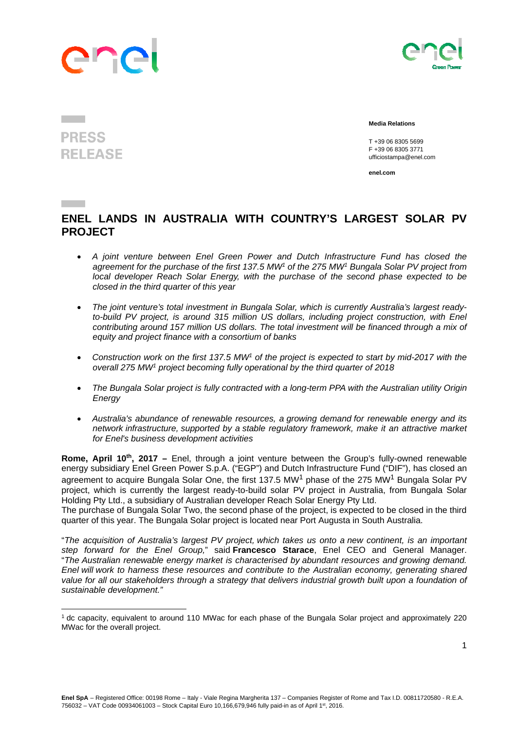## Inc

 



## **Media Relations**

 T +39 06 8305 5699 F +39 06 8305 3771 ufficiostampa@enel.com

**enel.com**

## **ENEL LANDS IN AUSTRALIA WITH COUNTRY'S LARGEST SOLAR PV PROJECT**

- *A joint venture between Enel Green Power and Dutch Infrastructure Fund has closed the agreement for the purchase of the first 137.5 MW1 of the 275 MW1 Bungala Solar PV project from local developer Reach Solar Energy, with the purchase of the second phase expected to be closed in the third quarter of this year*
- *The joint venture's total investment in Bungala Solar, which is currently Australia's largest ready*to-build PV project, is around 315 million US dollars, including project construction, with Enel *contributing around 157 million US dollars. The total investment will be financed through a mix of equity and project finance with a consortium of banks*
- *Construction work on the first 137.5 MW1 of the project is expected to start by mid-2017 with the overall 275 MW1 project becoming fully operational by the third quarter of 2018*
- *The Bungala Solar project is fully contracted with a long-term PPA with the Australian utility Origin Energy*
- *Australia's abundance of renewable resources, a growing demand for renewable energy and its network infrastructure, supported by a stable regulatory framework, make it an attractive market for Enel's business development activities*

**Rome, April 10<sup>th</sup>, 2017** – Enel, through a joint venture between the Group's fully-owned renewable energy subsidiary Enel Green Power S.p.A. ("EGP") and Dutch Infrastructure Fund ("DIF"), has closed an agreement to acquire Bungala Solar One, the first 137.5 MW<sup>1</sup> phase of the 275 MW<sup>1</sup> Bungala Solar PV project, which is currently the largest ready-to-build solar PV project in Australia, from Bungala Solar Holding Pty Ltd., a subsidiary of Australian developer Reach Solar Energy Pty Ltd.

The purchase of Bungala Solar Two, the second phase of the project, is expected to be closed in the third quarter of this year. The Bungala Solar project is located near Port Augusta in South Australia.

"*The acquisition of Australia's largest PV project, which takes us onto a new continent, is an important step forward for the Enel Group,*" said **Francesco Starace**, Enel CEO and General Manager. "*The Australian renewable energy market is characterised by abundant resources and growing demand. Enel will work to harness these resources and contribute to the Australian economy, generating shared*  value for all our stakeholders through a strategy that delivers industrial growth built upon a foundation of *sustainable development."* 

## **PRESS RELEASE**

<sup>1</sup> dc capacity, equivalent to around 110 MWac for each phase of the Bungala Solar project and approximately 220 MWac for the overall project.